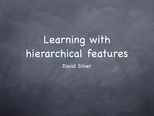## Learning with hierarchical features David Silver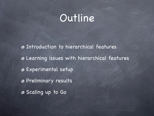#### Outline

Introduction to hierarchical features Learning issues with hierarchical features Experimental setup Preliminary results Scaling up to Go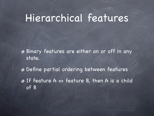#### Hierarchical features

Binary features are either on or off in any state.

Define partial ordering between features If feature A => feature B, then A is a child of B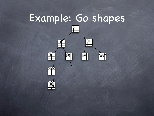## Example: Go shapes

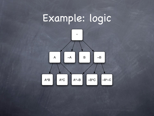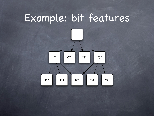## Example: bit features

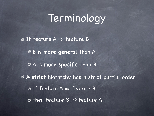### Terminology

**O** If feature A => feature B B is **more general** than A A is **more specific** than B A **strict** hierarchy has a strict partial order If feature A => feature B  $\bullet$  then feature B  $\Rightarrow$  feature A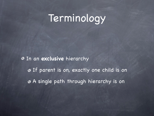## Terminology

In an **exclusive** hierarchy If parent is on, exactly one child is on A single path through hierarchy is on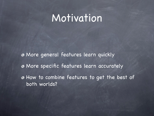#### Motivation

More general features learn quickly More specific features learn accurately How to combine features to get the best of both worlds?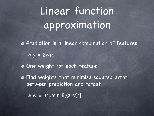# Linear function approximation

Prediction is a linear combination of features

 $\circ y = \sum w_i x_i$ 

One weight for each feature

Find weights that minimise squared error between prediction and target

 $\bullet$  w = argmin  $E[(z-y)^2]$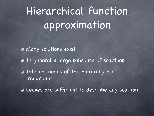# Hierarchical function approximation

Many solutions exist

- In general a large subspace of solutions
- Internal nodes of the hierarchy are 'redundant'

Leaves are sufficient to describe any solution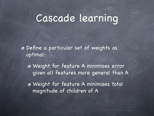#### Cascade learning

Define a particular set of weights as optimal:

Weight for feature A minimises error given all features more general than A

Weight for feature A minimises total magnitude of children of A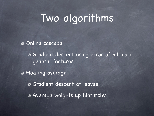## Two algorithms

Online cascade

Gradient descent using error of all more general features

Floating average Gradient descent at leaves Average weights up hierarchy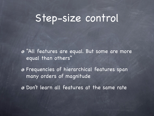#### Step-size control

"All features are equal. But some are more equal than others"

Frequencies of hierarchical features span many orders of magnitude

Don 't learn all features at the same rate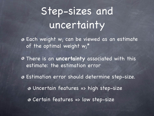## Step-sizes and uncertainty

Each weight wj can be viewed as an estimate of the optimal weight  $w_j{}^\star$ 

There is an **uncertainty** associated with this estimate: the estimation error

Estimation error should determine step-size. Uncertain features => high step-size Certain features => low step-size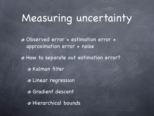## Measuring uncertainty

Observed error = estimation error + approximation error + noise How to separate out estimation error? **& Kalman filter** Linear regression Gradient descent Hierarchical bounds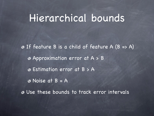#### Hierarchical bounds

If feature B is a child of feature A (B => A) Approximation error at A > B Estimation error at B > A Noise at B = A Use these bounds to track error intervals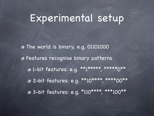## Experimental setup

The world is binary, e.g. 01101000 Features recognise binary patterns 0 1-bit features: e.g. \*\*1\*\*\*\*\*, \*\*\*\*\*\*0\*\* 2-bit features: e.g. \*\*10\*\*\*\*, \*\*\*\*00\*\* 3-bit features: e.g. \*110\*\*\*\*, \*\*\*100\*\*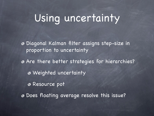## Using uncertainty

Diagonal Kalman filter assigns step-size in proportion to uncertainty

Are there better strategies for hierarchies? Weighted uncertainty Resource pot

Does floating average resolve this issue?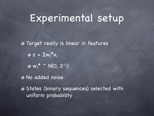## Experimental setup

**Target really is linear in features**  $z = \sum w_j^{\star} x_j$  $w_j^* \sim N(0, 2^{-l_j})$ No added noise

States (binary sequences) selected with uniform probability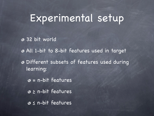## Experimental setup

- 32 bit world
- All 1-bit to 8-bit features used in target
- Different subsets of features used during learning:
	- $\circ$  = n-bit features
	- ≥ n-bit features
	- ≤ n-bit features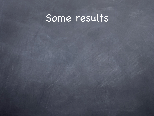## Some results